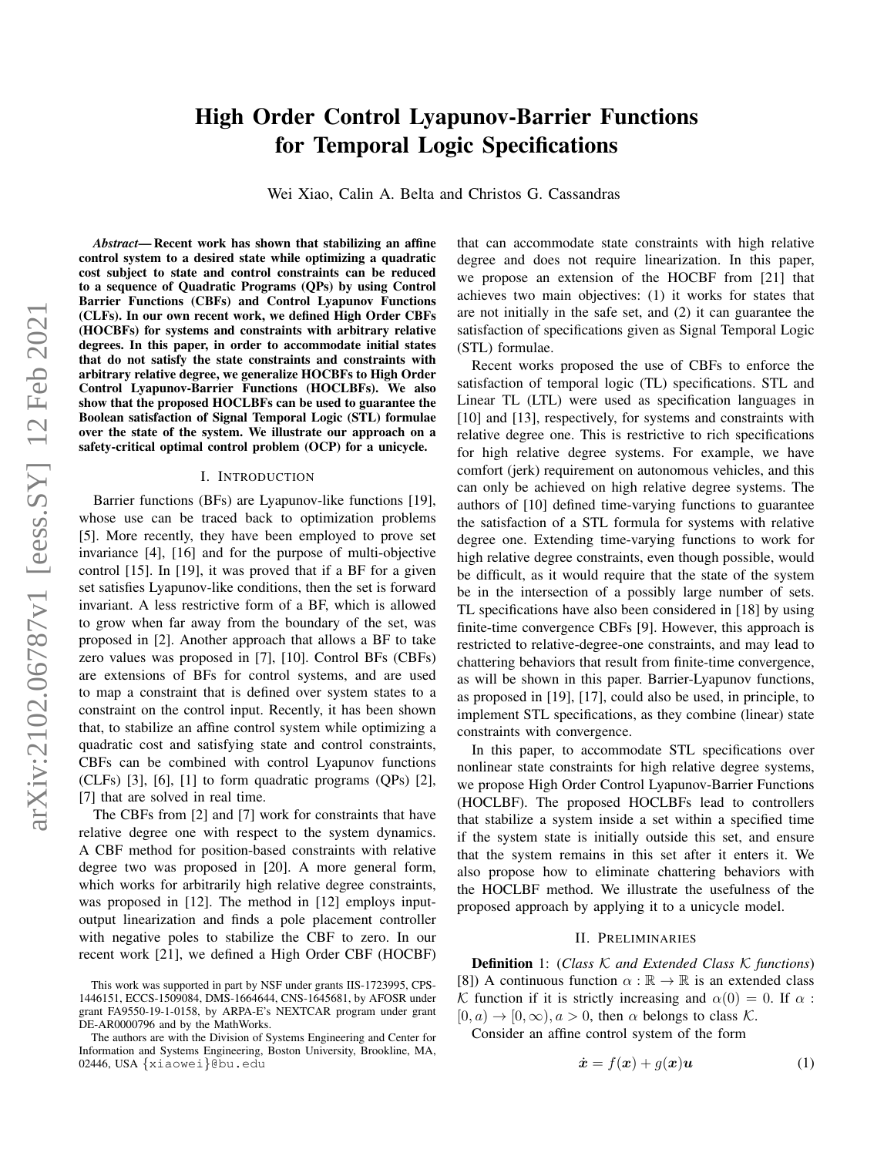# High Order Control Lyapunov-Barrier Functions for Temporal Logic Specifications

Wei Xiao, Calin A. Belta and Christos G. Cassandras

*Abstract*— Recent work has shown that stabilizing an affine control system to a desired state while optimizing a quadratic cost subject to state and control constraints can be reduced to a sequence of Quadratic Programs (QPs) by using Control Barrier Functions (CBFs) and Control Lyapunov Functions (CLFs). In our own recent work, we defined High Order CBFs (HOCBFs) for systems and constraints with arbitrary relative degrees. In this paper, in order to accommodate initial states that do not satisfy the state constraints and constraints with arbitrary relative degree, we generalize HOCBFs to High Order Control Lyapunov-Barrier Functions (HOCLBFs). We also show that the proposed HOCLBFs can be used to guarantee the Boolean satisfaction of Signal Temporal Logic (STL) formulae over the state of the system. We illustrate our approach on a safety-critical optimal control problem (OCP) for a unicycle.

#### I. INTRODUCTION

Barrier functions (BFs) are Lyapunov-like functions [19], whose use can be traced back to optimization problems [5]. More recently, they have been employed to prove set invariance [4], [16] and for the purpose of multi-objective control [15]. In [19], it was proved that if a BF for a given set satisfies Lyapunov-like conditions, then the set is forward invariant. A less restrictive form of a BF, which is allowed to grow when far away from the boundary of the set, was proposed in [2]. Another approach that allows a BF to take zero values was proposed in [7], [10]. Control BFs (CBFs) are extensions of BFs for control systems, and are used to map a constraint that is defined over system states to a constraint on the control input. Recently, it has been shown that, to stabilize an affine control system while optimizing a quadratic cost and satisfying state and control constraints, CBFs can be combined with control Lyapunov functions (CLFs)  $[3]$ ,  $[6]$ ,  $[1]$  to form quadratic programs  $(QPs)$   $[2]$ , [7] that are solved in real time.

The CBFs from [2] and [7] work for constraints that have relative degree one with respect to the system dynamics. A CBF method for position-based constraints with relative degree two was proposed in [20]. A more general form, which works for arbitrarily high relative degree constraints, was proposed in [12]. The method in [12] employs inputoutput linearization and finds a pole placement controller with negative poles to stabilize the CBF to zero. In our recent work [21], we defined a High Order CBF (HOCBF) that can accommodate state constraints with high relative degree and does not require linearization. In this paper, we propose an extension of the HOCBF from [21] that achieves two main objectives: (1) it works for states that are not initially in the safe set, and (2) it can guarantee the satisfaction of specifications given as Signal Temporal Logic (STL) formulae.

Recent works proposed the use of CBFs to enforce the satisfaction of temporal logic (TL) specifications. STL and Linear TL (LTL) were used as specification languages in [10] and [13], respectively, for systems and constraints with relative degree one. This is restrictive to rich specifications for high relative degree systems. For example, we have comfort (jerk) requirement on autonomous vehicles, and this can only be achieved on high relative degree systems. The authors of [10] defined time-varying functions to guarantee the satisfaction of a STL formula for systems with relative degree one. Extending time-varying functions to work for high relative degree constraints, even though possible, would be difficult, as it would require that the state of the system be in the intersection of a possibly large number of sets. TL specifications have also been considered in [18] by using finite-time convergence CBFs [9]. However, this approach is restricted to relative-degree-one constraints, and may lead to chattering behaviors that result from finite-time convergence, as will be shown in this paper. Barrier-Lyapunov functions, as proposed in [19], [17], could also be used, in principle, to implement STL specifications, as they combine (linear) state constraints with convergence.

In this paper, to accommodate STL specifications over nonlinear state constraints for high relative degree systems, we propose High Order Control Lyapunov-Barrier Functions (HOCLBF). The proposed HOCLBFs lead to controllers that stabilize a system inside a set within a specified time if the system state is initially outside this set, and ensure that the system remains in this set after it enters it. We also propose how to eliminate chattering behaviors with the HOCLBF method. We illustrate the usefulness of the proposed approach by applying it to a unicycle model.

# II. PRELIMINARIES

<span id="page-0-1"></span>Definition 1: (*Class* K *and Extended Class* K *functions*) [8]) A continuous function  $\alpha : \mathbb{R} \to \mathbb{R}$  is an extended class K function if it is strictly increasing and  $\alpha(0) = 0$ . If  $\alpha$ :  $[0, a) \rightarrow [0, \infty), a > 0$ , then  $\alpha$  belongs to class K.

Consider an affine control system of the form

<span id="page-0-0"></span>
$$
\dot{\boldsymbol{x}} = f(\boldsymbol{x}) + g(\boldsymbol{x})\boldsymbol{u} \tag{1}
$$

This work was supported in part by NSF under grants IIS-1723995, CPS-1446151, ECCS-1509084, DMS-1664644, CNS-1645681, by AFOSR under grant FA9550-19-1-0158, by ARPA-E's NEXTCAR program under grant DE-AR0000796 and by the MathWorks.

The authors are with the Division of Systems Engineering and Center for Information and Systems Engineering, Boston University, Brookline, MA, 02446, USA {xiaowei}@bu.edu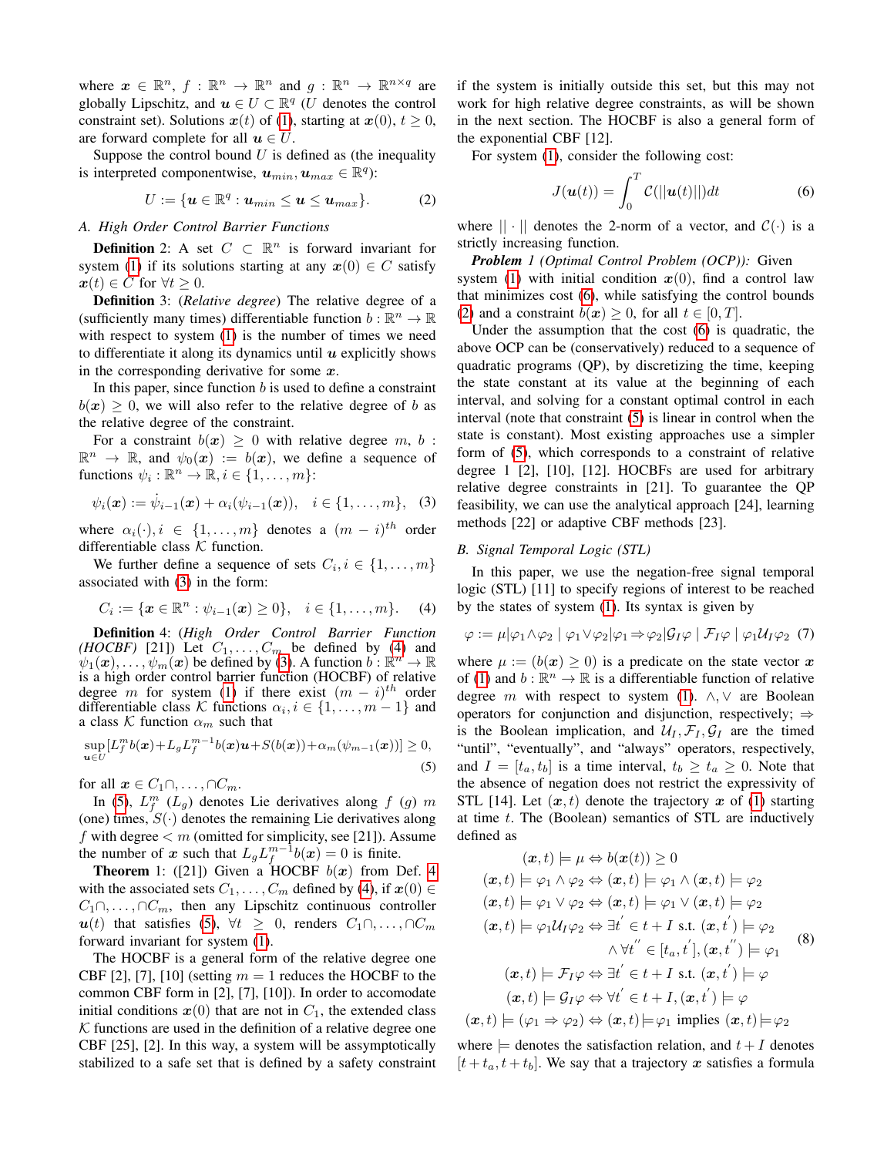where  $x \in \mathbb{R}^n$ ,  $f: \mathbb{R}^n \to \mathbb{R}^n$  and  $g: \mathbb{R}^n \to \mathbb{R}^{n \times q}$  are globally Lipschitz, and  $u \in U \subset \mathbb{R}^q$  (U denotes the control constraint set). Solutions  $x(t)$  of [\(1\)](#page-0-0), starting at  $x(0)$ ,  $t \ge 0$ , are forward complete for all  $u \in U$ .

Suppose the control bound  $U$  is defined as (the inequality is interpreted componentwise,  $u_{min}, u_{max} \in \mathbb{R}^q$ ):

<span id="page-1-5"></span>
$$
U := \{ \boldsymbol{u} \in \mathbb{R}^q : \boldsymbol{u}_{min} \leq \boldsymbol{u} \leq \boldsymbol{u}_{max} \}.
$$
 (2)

## <span id="page-1-8"></span>*A. High Order Control Barrier Functions*

**Definition** 2: A set  $C \subset \mathbb{R}^n$  is forward invariant for system [\(1\)](#page-0-0) if its solutions starting at any  $x(0) \in C$  satisfy  $x(t) \in C$  for  $\forall t \geq 0$ .

Definition 3: (*Relative degree*) The relative degree of a (sufficiently many times) differentiable function  $b : \mathbb{R}^n \to \mathbb{R}$ with respect to system [\(1\)](#page-0-0) is the number of times we need to differentiate it along its dynamics until  $u$  explicitly shows in the corresponding derivative for some  $x$ .

In this paper, since function  $b$  is used to define a constraint  $b(x) \geq 0$ , we will also refer to the relative degree of b as the relative degree of the constraint.

For a constraint  $b(x) \geq 0$  with relative degree m, b:  $\mathbb{R}^n \to \mathbb{R}$ , and  $\psi_0(x) := b(x)$ , we define a sequence of functions  $\psi_i : \mathbb{R}^n \to \mathbb{R}, i \in \{1, \dots, m\}$ :

<span id="page-1-0"></span>
$$
\psi_i(\mathbf{x}) := \dot{\psi}_{i-1}(\mathbf{x}) + \alpha_i(\psi_{i-1}(\mathbf{x})), \quad i \in \{1, ..., m\},
$$
 (3)

where  $\alpha_i(\cdot), i \in \{1, \ldots, m\}$  denotes a  $(m - i)^{th}$  order differentiable class  $K$  function.

We further define a sequence of sets  $C_i, i \in \{1, \ldots, m\}$ associated with [\(3\)](#page-1-0) in the form:

<span id="page-1-1"></span>
$$
C_i := \{ \mathbf{x} \in \mathbb{R}^n : \psi_{i-1}(\mathbf{x}) \ge 0 \}, \quad i \in \{1, \dots, m\}. \tag{4}
$$

<span id="page-1-3"></span>Definition 4: (*High Order Control Barrier Function (HOCBF)* [21]) Let  $C_1, \ldots, C_m$  be defined by [\(4\)](#page-1-1) and  $\psi_1(\mathbf{x}), \ldots, \psi_m(\mathbf{x})$  be defined by [\(3\)](#page-1-0). A function  $b : \mathbb{R}^n \to \mathbb{R}$ is a high order control barrier function (HOCBF) of relative degree m for system [\(1\)](#page-0-0) if there exist  $(m - i)^{th}$  order differentiable class K functions  $\alpha_i, i \in \{1, \ldots, m-1\}$  and a class  $K$  function  $\alpha_m$  such that

<span id="page-1-2"></span>
$$
\sup_{\boldsymbol{u}\in U}[L_f^mb(\boldsymbol{x})+L_gL_f^{m-1}b(\boldsymbol{x})\boldsymbol{u}+S(b(\boldsymbol{x}))+\alpha_m(\psi_{m-1}(\boldsymbol{x}))]\geq 0,
$$
\n(5)

for all  $x \in C_1 \cap \ldots \cap C_m$ .

In [\(5\)](#page-1-2),  $L_f^m$  ( $L_g$ ) denotes Lie derivatives along  $f$  (g)  $m$ (one) times,  $S(\cdot)$  denotes the remaining Lie derivatives along f with degree  $\lt m$  (omitted for simplicity, see [21]). Assume the number of x such that  $L_g L_f^{m-1} b(x) = 0$  is finite.

<span id="page-1-6"></span>**Theorem** 1: ([21]) Given a HOCBF  $b(x)$  from Def. [4](#page-1-3) with the associated sets  $C_1, \ldots, C_m$  defined by [\(4\)](#page-1-1), if  $x(0) \in$  $C_1 \cap \ldots \cap C_m$ , then any Lipschitz continuous controller  $u(t)$  that satisfies [\(5\)](#page-1-2),  $\forall t \geq 0$ , renders  $C_1 \cap \ldots \cap C_m$ forward invariant for system [\(1\)](#page-0-0).

The HOCBF is a general form of the relative degree one CBF [2], [7], [10] (setting  $m = 1$  reduces the HOCBF to the common CBF form in [2], [7], [10]). In order to accomodate initial conditions  $x(0)$  that are not in  $C_1$ , the extended class  $K$  functions are used in the definition of a relative degree one CBF [25], [2]. In this way, a system will be assymptotically stabilized to a safe set that is defined by a safety constraint if the system is initially outside this set, but this may not work for high relative degree constraints, as will be shown in the next section. The HOCBF is also a general form of the exponential CBF [12].

For system [\(1\)](#page-0-0), consider the following cost:

<span id="page-1-4"></span>
$$
J(\boldsymbol{u}(t)) = \int_0^T \mathcal{C}(||\boldsymbol{u}(t)||)dt
$$
 (6)

where  $|| \cdot ||$  denotes the 2-norm of a vector, and  $C(\cdot)$  is a strictly increasing function.

<span id="page-1-7"></span>*Problem 1 (Optimal Control Problem (OCP)):* Given system [\(1\)](#page-0-0) with initial condition  $x(0)$ , find a control law that minimizes cost [\(6\)](#page-1-4), while satisfying the control bounds [\(2\)](#page-1-5) and a constraint  $b(x) \geq 0$ , for all  $t \in [0, T]$ .

Under the assumption that the cost [\(6\)](#page-1-4) is quadratic, the above OCP can be (conservatively) reduced to a sequence of quadratic programs (QP), by discretizing the time, keeping the state constant at its value at the beginning of each interval, and solving for a constant optimal control in each interval (note that constraint [\(5\)](#page-1-2) is linear in control when the state is constant). Most existing approaches use a simpler form of [\(5\)](#page-1-2), which corresponds to a constraint of relative degree 1 [2], [10], [12]. HOCBFs are used for arbitrary relative degree constraints in [21]. To guarantee the QP feasibility, we can use the analytical approach [24], learning methods [22] or adaptive CBF methods [23].

#### *B. Signal Temporal Logic (STL)*

In this paper, we use the negation-free signal temporal logic (STL) [11] to specify regions of interest to be reached by the states of system [\(1\)](#page-0-0). Its syntax is given by

$$
\varphi := \mu |\varphi_1 \wedge \varphi_2| \varphi_1 \vee \varphi_2 | \varphi_1 \Rightarrow \varphi_2 | \mathcal{G}_I \varphi| \mathcal{F}_I \varphi | \varphi_1 \mathcal{U}_I \varphi_2 \tag{7}
$$

where  $\mu := (b(x) \geq 0)$  is a predicate on the state vector x of [\(1\)](#page-0-0) and  $b : \mathbb{R}^n \to \mathbb{R}$  is a differentiable function of relative degree m with respect to system [\(1\)](#page-0-0).  $\wedge$ ,  $\vee$  are Boolean operators for conjunction and disjunction, respectively;  $\Rightarrow$ is the Boolean implication, and  $U_I$ ,  $\mathcal{F}_I$ ,  $\mathcal{G}_I$  are the timed "until", "eventually", and "always" operators, respectively, and  $I = [t_a, t_b]$  is a time interval,  $t_b \geq t_a \geq 0$ . Note that the absence of negation does not restrict the expressivity of STL [14]. Let  $(x, t)$  denote the trajectory x of [\(1\)](#page-0-0) starting at time  $t$ . The (Boolean) semantics of STL are inductively defined as

$$
(\boldsymbol{x},t) \models \mu \Leftrightarrow b(\boldsymbol{x}(t)) \ge 0
$$
  
\n
$$
(\boldsymbol{x},t) \models \varphi_1 \land \varphi_2 \Leftrightarrow (\boldsymbol{x},t) \models \varphi_1 \land (\boldsymbol{x},t) \models \varphi_2
$$
  
\n
$$
(\boldsymbol{x},t) \models \varphi_1 \lor \varphi_2 \Leftrightarrow (\boldsymbol{x},t) \models \varphi_1 \lor (\boldsymbol{x},t) \models \varphi_2
$$
  
\n
$$
(\boldsymbol{x},t) \models \varphi_1 \mathcal{U}_1 \varphi_2 \Leftrightarrow \exists t' \in t + I \text{ s.t. } (\boldsymbol{x},t') \models \varphi_2
$$
  
\n
$$
\land \forall t'' \in [t_a, t'], (\boldsymbol{x},t'') \models \varphi_1
$$
  
\n
$$
(\boldsymbol{x},t) \models \mathcal{F}_1 \varphi \Leftrightarrow \exists t' \in t + I \text{ s.t. } (\boldsymbol{x},t') \models \varphi
$$
  
\n
$$
(\boldsymbol{x},t) \models \mathcal{G}_1 \varphi \Leftrightarrow \forall t' \in t + I, (\boldsymbol{x},t') \models \varphi
$$
  
\n
$$
(\boldsymbol{x},t) \models (\varphi_1 \Rightarrow \varphi_2) \Leftrightarrow (\boldsymbol{x},t) \models \varphi_1 \text{ implies } (\boldsymbol{x},t) \models \varphi_2
$$

where  $\models$  denotes the satisfaction relation, and  $t + I$  denotes  $[t + t_a, t + t_b]$ . We say that a trajectory x satisfies a formula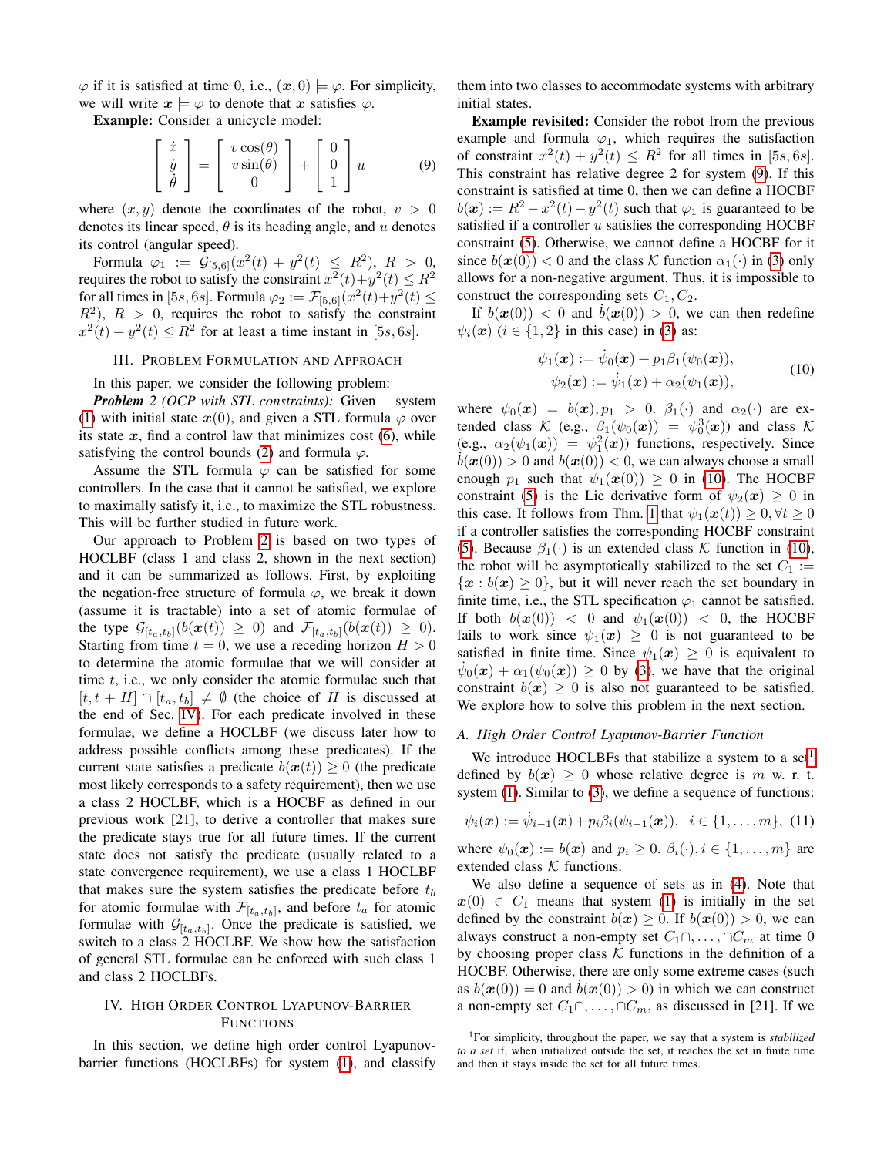$\varphi$  if it is satisfied at time 0, i.e.,  $(\boldsymbol{x}, 0) \models \varphi$ . For simplicity, we will write  $x \models \varphi$  to denote that x satisfies  $\varphi$ .

Example: Consider a unicycle model:

<span id="page-2-2"></span>
$$
\begin{bmatrix} \dot{x} \\ \dot{y} \\ \dot{\theta} \end{bmatrix} = \begin{bmatrix} v\cos(\theta) \\ v\sin(\theta) \\ 0 \end{bmatrix} + \begin{bmatrix} 0 \\ 0 \\ 1 \end{bmatrix} u \tag{9}
$$

where  $(x, y)$  denote the coordinates of the robot,  $v > 0$ denotes its linear speed,  $\theta$  is its heading angle, and u denotes its control (angular speed).

Formula  $\varphi_1 := \mathcal{G}_{[5,6]}(x^2(t) + y^2(t) \leq R^2)$ ,  $R > 0$ , requires the robot to satisfy the constraint  $x^2(t)+y^2(t) \leq R^2$ for all times in [5s, 6s]. Formula  $\varphi_2 := \mathcal{F}_{[5,6]}(x^2(t)+y^2(t)) \leq$  $R^2$ ),  $R > 0$ , requires the robot to satisfy the constraint  $x^2(t) + y^2(t) \le R^2$  for at least a time instant in [5s, 6s].

## III. PROBLEM FORMULATION AND APPROACH

<span id="page-2-6"></span>In this paper, we consider the following problem:

<span id="page-2-0"></span>*Problem 2 (OCP with STL constraints):* Given system [\(1\)](#page-0-0) with initial state  $x(0)$ , and given a STL formula  $\varphi$  over its state  $x$ , find a control law that minimizes cost  $(6)$ , while satisfying the control bounds [\(2\)](#page-1-5) and formula  $\varphi$ .

Assume the STL formula  $\varphi$  can be satisfied for some controllers. In the case that it cannot be satisfied, we explore to maximally satisfy it, i.e., to maximize the STL robustness. This will be further studied in future work.

Our approach to Problem [2](#page-2-0) is based on two types of HOCLBF (class 1 and class 2, shown in the next section) and it can be summarized as follows. First, by exploiting the negation-free structure of formula  $\varphi$ , we break it down (assume it is tractable) into a set of atomic formulae of the type  $\mathcal{G}_{[t_a,t_b]}(b(\boldsymbol{x}(t)) \geq 0)$  and  $\mathcal{F}_{[t_a,t_b]}(b(\boldsymbol{x}(t)) \geq 0)$ . Starting from time  $t = 0$ , we use a receding horizon  $H > 0$ to determine the atomic formulae that we will consider at time  $t$ , i.e., we only consider the atomic formulae such that  $[t, t + H] \cap [t_a, t_b] \neq \emptyset$  (the choice of H is discussed at the end of Sec. [IV\)](#page-2-1). For each predicate involved in these formulae, we define a HOCLBF (we discuss later how to address possible conflicts among these predicates). If the current state satisfies a predicate  $b(x(t)) \geq 0$  (the predicate most likely corresponds to a safety requirement), then we use a class 2 HOCLBF, which is a HOCBF as defined in our previous work [21], to derive a controller that makes sure the predicate stays true for all future times. If the current state does not satisfy the predicate (usually related to a state convergence requirement), we use a class 1 HOCLBF that makes sure the system satisfies the predicate before  $t_b$ for atomic formulae with  $\mathcal{F}_{[t_a,t_b]}$ , and before  $t_a$  for atomic formulae with  $\mathcal{G}_{[t_a,t_b]}$ . Once the predicate is satisfied, we switch to a class 2 HOCLBF. We show how the satisfaction of general STL formulae can be enforced with such class 1 and class 2 HOCLBFs.

# <span id="page-2-1"></span>IV. HIGH ORDER CONTROL LYAPUNOV-BARRIER **FUNCTIONS**

In this section, we define high order control Lyapunovbarrier functions (HOCLBFs) for system [\(1\)](#page-0-0), and classify them into two classes to accommodate systems with arbitrary initial states.

Example revisited: Consider the robot from the previous example and formula  $\varphi_1$ , which requires the satisfaction of constraint  $x^2(t) + y^2(t) \leq R^2$  for all times in [5s, 6s]. This constraint has relative degree 2 for system [\(9\)](#page-2-2). If this constraint is satisfied at time 0, then we can define a HOCBF  $b(\boldsymbol{x}) := R^2 - x^2(t) - y^2(t)$  such that  $\varphi_1$  is guaranteed to be satisfied if a controller  $u$  satisfies the corresponding HOCBF constraint [\(5\)](#page-1-2). Otherwise, we cannot define a HOCBF for it since  $b(x(0)) < 0$  and the class K function  $\alpha_1(\cdot)$  in [\(3\)](#page-1-0) only allows for a non-negative argument. Thus, it is impossible to construct the corresponding sets  $C_1, C_2$ .

If  $b(x(0)) < 0$  and  $\dot{b}(x(0)) > 0$ , we can then redefine  $\psi_i(\mathbf{x})$  ( $i \in \{1,2\}$ ) in this case) in [\(3\)](#page-1-0) as:

<span id="page-2-3"></span>
$$
\psi_1(\mathbf{x}) := \dot{\psi}_0(\mathbf{x}) + p_1 \beta_1(\psi_0(\mathbf{x})), \n\psi_2(\mathbf{x}) := \dot{\psi}_1(\mathbf{x}) + \alpha_2(\psi_1(\mathbf{x})),
$$
\n(10)

where  $\psi_0(x) = b(x), p_1 > 0$ .  $\beta_1(\cdot)$  and  $\alpha_2(\cdot)$  are extended class  $\mathcal{K}$  (e.g.,  $\beta_1(\psi_0(\boldsymbol{x})) = \psi_0^3(\boldsymbol{x})$ ) and class  $\mathcal{K}$ (e.g.,  $\alpha_2(\psi_1(\boldsymbol{x})) = \psi_1^2(\boldsymbol{x})$ ) functions, respectively. Since  $b(x(0)) > 0$  and  $b(x(0)) < 0$ , we can always choose a small enough  $p_1$  such that  $\psi_1(\mathbf{x}(0)) \geq 0$  in [\(10\)](#page-2-3). The HOCBF constraint [\(5\)](#page-1-2) is the Lie derivative form of  $\psi_2(x) \geq 0$  in this case. It follows from Thm. [1](#page-1-6) that  $\psi_1(\mathbf{x}(t)) \geq 0, \forall t \geq 0$ if a controller satisfies the corresponding HOCBF constraint [\(5\)](#page-1-2). Because  $\beta_1(\cdot)$  is an extended class K function in [\(10\)](#page-2-3), the robot will be asymptotically stabilized to the set  $C_1 :=$  ${x : b(x) \geq 0}$ , but it will never reach the set boundary in finite time, i.e., the STL specification  $\varphi_1$  cannot be satisfied. If both  $b(x(0)) < 0$  and  $\psi_1(x(0)) < 0$ , the HOCBF fails to work since  $\psi_1(x) > 0$  is not guaranteed to be satisfied in finite time. Since  $\psi_1(x) \geq 0$  is equivalent to  $\dot{\psi}_0(x) + \alpha_1(\psi_0(x)) \ge 0$  by [\(3\)](#page-1-0), we have that the original constraint  $b(x) \geq 0$  is also not guaranteed to be satisfied. We explore how to solve this problem in the next section.

#### *A. High Order Control Lyapunov-Barrier Function*

We introduce HOCLBFs that stabilize a system to a set<sup>[1](#page-2-4)</sup> defined by  $b(x) > 0$  whose relative degree is m w. r. t. system [\(1\)](#page-0-0). Similar to [\(3\)](#page-1-0), we define a sequence of functions:

<span id="page-2-5"></span>
$$
\psi_i(\boldsymbol{x}) := \dot{\psi}_{i-1}(\boldsymbol{x}) + p_i \beta_i(\psi_{i-1}(\boldsymbol{x})), \ \ i \in \{1, \ldots, m\}, \ (11)
$$

where  $\psi_0(\mathbf{x}) := b(\mathbf{x})$  and  $p_i \geq 0$ .  $\beta_i(\cdot), i \in \{1, \dots, m\}$  are extended class  $K$  functions.

We also define a sequence of sets as in [\(4\)](#page-1-1). Note that  $x(0) \in C_1$  means that system [\(1\)](#page-0-0) is initially in the set defined by the constraint  $b(x) \geq 0$ . If  $b(x(0)) > 0$ , we can always construct a non-empty set  $C_1 \cap \ldots \cap C_m$  at time 0 by choosing proper class  $K$  functions in the definition of a HOCBF. Otherwise, there are only some extreme cases (such as  $b(x(0)) = 0$  and  $b(x(0)) > 0$  in which we can construct a non-empty set  $C_1 \cap \ldots \cap C_m$ , as discussed in [21]. If we

<span id="page-2-4"></span><sup>1</sup>For simplicity, throughout the paper, we say that a system is *stabilized to a set* if, when initialized outside the set, it reaches the set in finite time and then it stays inside the set for all future times.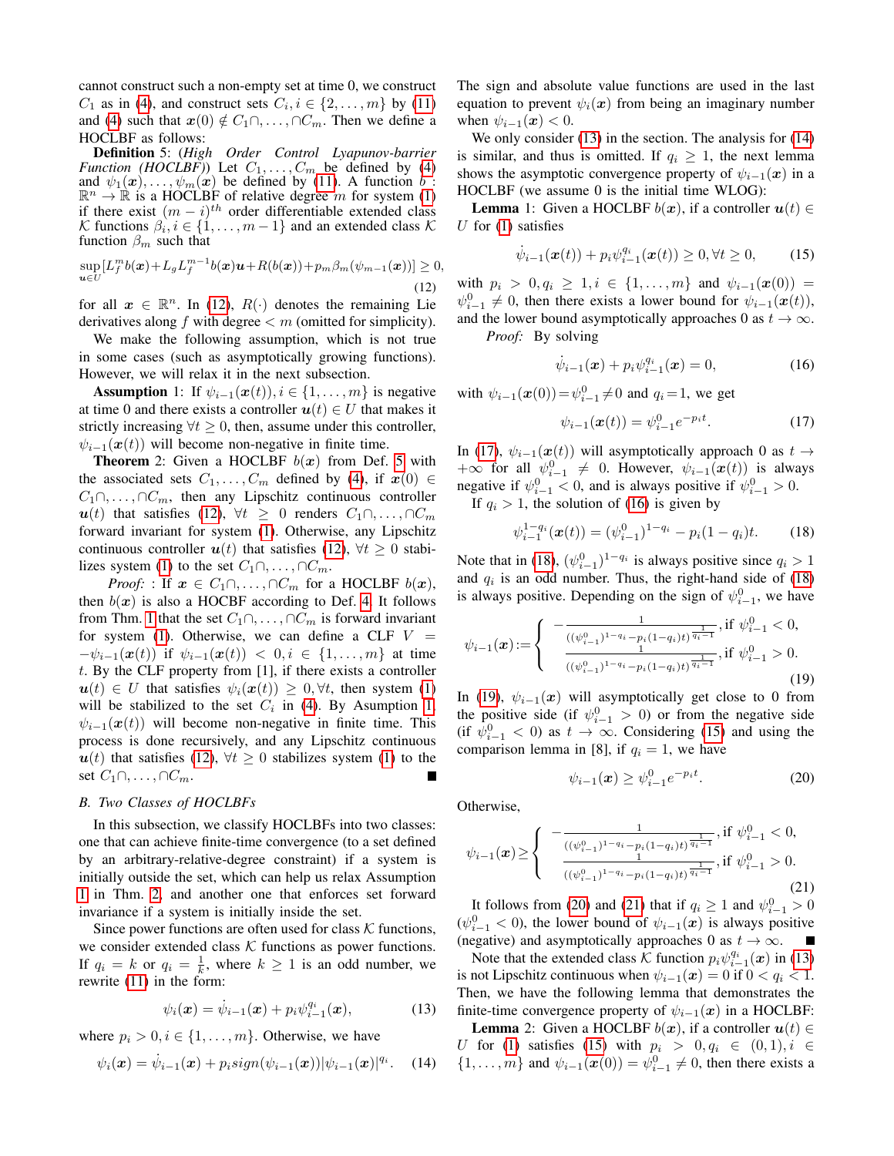cannot construct such a non-empty set at time 0, we construct  $C_1$  as in [\(4\)](#page-1-1), and construct sets  $C_i, i \in \{2, \ldots, m\}$  by [\(11\)](#page-2-5) and [\(4\)](#page-1-1) such that  $x(0) \notin C_1 \cap \ldots \cap C_m$ . Then we define a HOCLBF as follows:

<span id="page-3-1"></span>Definition 5: (*High Order Control Lyapunov-barrier Function (HOCLBF)*) Let  $C_1, \ldots, C_m$  be defined by [\(4\)](#page-1-1) and  $\psi_1(\mathbf{x}), \ldots, \psi_m(\mathbf{x})$  be defined by [\(11\)](#page-2-5). A function b:  $\mathbb{R}^n \to \mathbb{R}$  is a HOCLBF of relative degree m for system [\(1\)](#page-0-0) if there exist  $(m - i)^{th}$  order differentiable extended class K functions  $\beta_i, i \in \{1, \ldots, m-1\}$  and an extended class K function  $\beta_m$  such that

<span id="page-3-0"></span>
$$
\sup_{\boldsymbol{u}\in U}[L_f^m b(\boldsymbol{x})+L_g L_f^{m-1} b(\boldsymbol{x})\boldsymbol{u}+R(b(\boldsymbol{x}))+p_m\beta_m(\psi_{m-1}(\boldsymbol{x}))]\geq 0,
$$
\n(12)

for all  $x \in \mathbb{R}^n$ . In [\(12\)](#page-3-0),  $R(\cdot)$  denotes the remaining Lie derivatives along  $f$  with degree  $\lt m$  (omitted for simplicity).

We make the following assumption, which is not true in some cases (such as asymptotically growing functions). However, we will relax it in the next subsection.

<span id="page-3-2"></span>**Assumption** 1: If  $\psi_{i-1}(\boldsymbol{x}(t)), i \in \{1, \ldots, m\}$  is negative at time 0 and there exists a controller  $u(t) \in U$  that makes it strictly increasing  $\forall t \geq 0$ , then, assume under this controller,  $\psi_{i-1}(\mathbf{x}(t))$  will become non-negative in finite time.

<span id="page-3-3"></span>**Theorem** 2: Given a HOCLBF  $b(x)$  from Def. [5](#page-3-1) with the associated sets  $C_1, \ldots, C_m$  defined by [\(4\)](#page-1-1), if  $x(0) \in$  $C_1 \cap \ldots \cap C_m$ , then any Lipschitz continuous controller  $u(t)$  that satisfies [\(12\)](#page-3-0),  $\forall t \geq 0$  renders  $C_1 \cap \ldots \cap C_m$ forward invariant for system [\(1\)](#page-0-0). Otherwise, any Lipschitz continuous controller  $u(t)$  that satisfies [\(12\)](#page-3-0),  $\forall t \geq 0$  stabi-lizes system [\(1\)](#page-0-0) to the set  $C_1 \cap \ldots \cap C_m$ .

*Proof:* : If  $x \in C_1 \cap \ldots \cap C_m$  for a HOCLBF  $b(x)$ , then  $b(x)$  is also a HOCBF according to Def. [4.](#page-1-3) It follows from Thm. [1](#page-1-6) that the set  $C_1 \cap \ldots \cap C_m$  is forward invariant for system [\(1\)](#page-0-0). Otherwise, we can define a CLF  $V =$  $-\psi_{i-1}(\bm{x}(t))$  if  $\psi_{i-1}(\bm{x}(t)) < 0, i \in \{1, ..., m\}$  at time t. By the CLF property from [1], if there exists a controller  $u(t) \in U$  that satisfies  $\psi_i(x(t)) \geq 0, \forall t$ , then system [\(1\)](#page-0-0) will be stabilized to the set  $C_i$  in [\(4\)](#page-1-1). By Asumption [1,](#page-3-2)  $\psi_{i-1}(\mathbf{x}(t))$  will become non-negative in finite time. This process is done recursively, and any Lipschitz continuous  $u(t)$  that satisfies [\(12\)](#page-3-0),  $\forall t \geq 0$  stabilizes system [\(1\)](#page-0-0) to the set  $C_1 \cap \ldots \cap C_m$ .  $\blacksquare$ 

## *B. Two Classes of HOCLBFs*

In this subsection, we classify HOCLBFs into two classes: one that can achieve finite-time convergence (to a set defined by an arbitrary-relative-degree constraint) if a system is initially outside the set, which can help us relax Assumption [1](#page-3-2) in Thm. [2,](#page-3-3) and another one that enforces set forward invariance if a system is initially inside the set.

Since power functions are often used for class  $K$  functions, we consider extended class  $K$  functions as power functions. If  $q_i = k$  or  $q_i = \frac{1}{k}$ , where  $k \ge 1$  is an odd number, we rewrite [\(11\)](#page-2-5) in the form:

<span id="page-3-4"></span>
$$
\psi_i(\boldsymbol{x}) = \dot{\psi}_{i-1}(\boldsymbol{x}) + p_i \psi_{i-1}^{q_i}(\boldsymbol{x}), \qquad (13)
$$

where  $p_i > 0, i \in \{1, \ldots, m\}$ . Otherwise, we have

<span id="page-3-5"></span>
$$
\psi_i(\bm{x}) = \dot{\psi}_{i-1}(\bm{x}) + p_i sign(\psi_{i-1}(\bm{x})) |\psi_{i-1}(\bm{x})|^{q_i}.
$$
 (14)

The sign and absolute value functions are used in the last equation to prevent  $\psi_i(x)$  from being an imaginary number when  $\psi_{i-1}(\boldsymbol{x}) < 0$ .

We only consider [\(13\)](#page-3-4) in the section. The analysis for [\(14\)](#page-3-5) is similar, and thus is omitted. If  $q_i \geq 1$ , the next lemma shows the asymptotic convergence property of  $\psi_{i-1}(x)$  in a HOCLBF (we assume 0 is the initial time WLOG):

<span id="page-3-13"></span>**Lemma** 1: Given a HOCLBF  $b(x)$ , if a controller  $u(t) \in$ U for  $(1)$  satisfies

<span id="page-3-10"></span>
$$
\dot{\psi}_{i-1}(\bm{x}(t)) + p_i \psi_{i-1}^{q_i}(\bm{x}(t)) \ge 0, \forall t \ge 0,
$$
 (15)

with  $p_i > 0, q_i \ge 1, i \in \{1, ..., m\}$  and  $\psi_{i-1}(\bm{x}(0)) =$  $\psi_{i-1}^0 \neq 0$ , then there exists a lower bound for  $\psi_{i-1}(\boldsymbol{x}(t)),$ and the lower bound asymptotically approaches 0 as  $t \to \infty$ . *Proof:* By solving

<span id="page-3-7"></span>
$$
\dot{\psi}_{i-1}(\boldsymbol{x}) + p_i \psi_{i-1}^{q_i}(\boldsymbol{x}) = 0, \qquad (16)
$$

with  $\psi_{i-1}(\bm{x}(0)) = \psi_{i-1}^0 \neq 0$  and  $q_i = 1$ , we get

<span id="page-3-6"></span>
$$
\psi_{i-1}(\boldsymbol{x}(t)) = \psi_{i-1}^0 e^{-p_i t}.
$$
 (17)

In [\(17\)](#page-3-6),  $\psi_{i-1}(\boldsymbol{x}(t))$  will asymptotically approach 0 as  $t \to$  $+\infty$  for all  $\psi_{i-1}^0 \neq 0$ . However,  $\psi_{i-1}(\boldsymbol{x}(t))$  is always negative if  $\psi_{i-1}^0 < 0$ , and is always positive if  $\psi_{i-1}^0 > 0$ .

If  $q_i > 1$ , the solution of [\(16\)](#page-3-7) is given by

<span id="page-3-8"></span>
$$
\psi_{i-1}^{1-q_i}(\boldsymbol{x}(t)) = (\psi_{i-1}^0)^{1-q_i} - p_i(1-q_i)t.
$$
 (18)

Note that in [\(18\)](#page-3-8),  $(\psi_{i-1}^0)^{1-q_i}$  is always positive since  $q_i > 1$ and  $q_i$  is an odd number. Thus, the right-hand side of [\(18\)](#page-3-8) is always positive. Depending on the sign of  $\psi_{i-1}^0$ , we have

<span id="page-3-9"></span>
$$
\psi_{i-1}(\boldsymbol{x}) := \begin{cases}\n-\frac{1}{((\psi_{i-1}^0)^{1-q_i} - p_i(1-q_i)t)^{\frac{1}{q_i-1}}}, & \text{if } \psi_{i-1}^0 < 0, \\
\frac{1}{((\psi_{i-1}^0)^{1-q_i} - p_i(1-q_i)t)^{\frac{1}{q_i-1}}}, & \text{if } \psi_{i-1}^0 > 0.\n\end{cases} \tag{19}
$$

In [\(19\)](#page-3-9),  $\psi_{i-1}(x)$  will asymptotically get close to 0 from the positive side (if  $\psi_{i-1}^0 > 0$ ) or from the negative side (if  $\psi_{i-1}^0 < 0$ ) as  $t \to \infty$ . Considering [\(15\)](#page-3-10) and using the comparison lemma in [8], if  $q_i = 1$ , we have

<span id="page-3-14"></span><span id="page-3-11"></span>
$$
\psi_{i-1}(\mathbf{x}) \ge \psi_{i-1}^0 e^{-p_i t}.\tag{20}
$$

Otherwise,

<span id="page-3-12"></span>
$$
\psi_{i-1}(\boldsymbol{x}) \ge \begin{cases}\n-\frac{1}{((\psi_{i-1}^0)^{1-q_i} - p_i(1-q_i)t)^{\frac{1}{q_i-1}}}, & \text{if } \psi_{i-1}^0 < 0, \\
\frac{1}{((\psi_{i-1}^0)^{1-q_i} - p_i(1-q_i)t)^{\frac{1}{q_i-1}}}, & \text{if } \psi_{i-1}^0 > 0.\n\end{cases}\n\tag{21}
$$

It follows from [\(20\)](#page-3-11) and [\(21\)](#page-3-12) that if  $q_i \ge 1$  and  $\psi_{i-1}^0 > 0$  $(\psi_{i-1}^0 < 0)$ , the lower bound of  $\psi_{i-1}(\boldsymbol{x})$  is always positive (negative) and asymptotically approaches 0 as  $t \to \infty$ . П

Note that the extended class K function  $p_i \psi_{i-1}^{q_i}(\boldsymbol{x})$  in [\(13\)](#page-3-4) is not Lipschitz continuous when  $\psi_{i-1}(\boldsymbol{x}) = 0$  if  $0 < q_i < 1$ . Then, we have the following lemma that demonstrates the finite-time convergence property of  $\psi_{i-1}(x)$  in a HOCLBF:

**Lemma** 2: Given a HOCLBF  $b(x)$ , if a controller  $u(t) \in$ U for [\(1\)](#page-0-0) satisfies [\(15\)](#page-3-10) with  $p_i > 0, q_i \in (0,1), i \in$  $\{1, \ldots, m\}$  and  $\psi_{i-1}(\boldsymbol{x}(0)) = \psi_{i-1}^0 \neq 0$ , then there exists a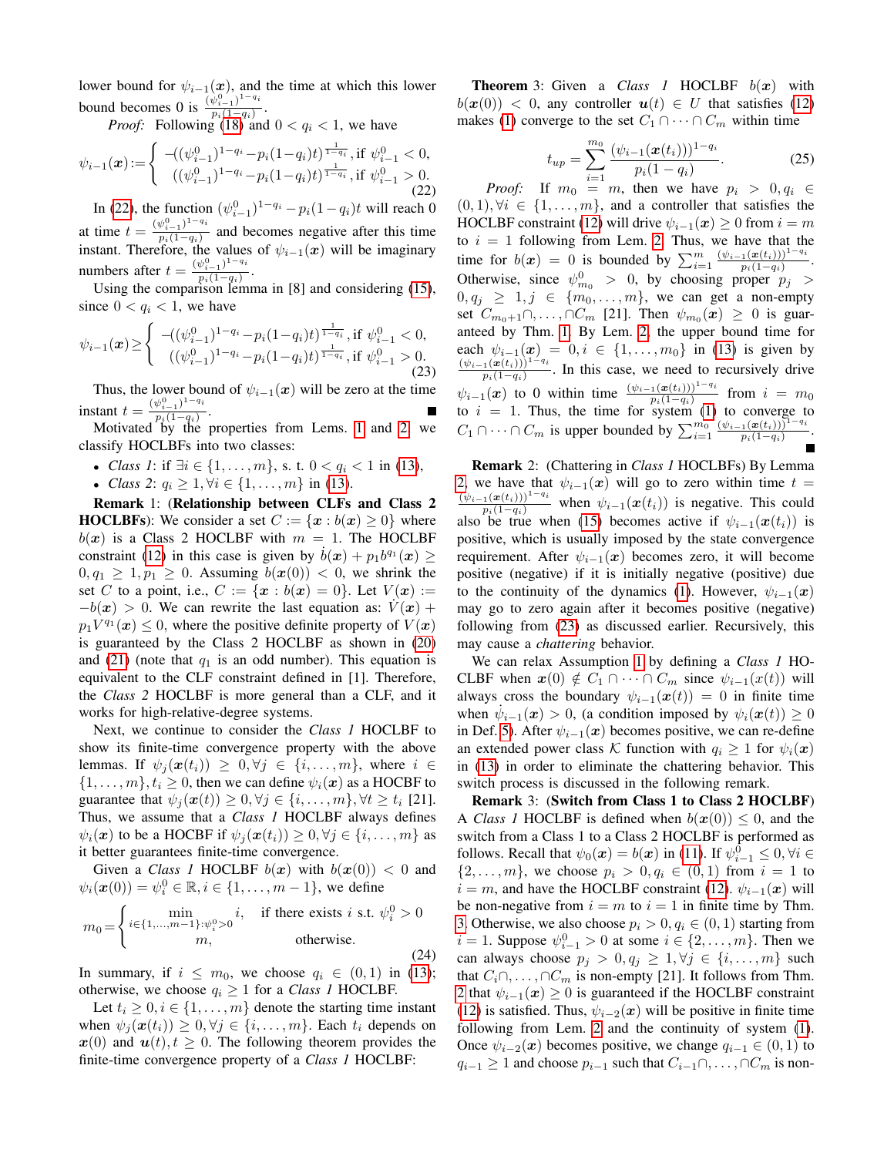lower bound for  $\psi_{i-1}(x)$ , and the time at which this lower bound becomes 0 is  $\frac{(\psi_{i-1}^0)^{1-q_i}}{n_i(1-q_i)}$  $\frac{\varphi_{i-1}}{p_i(1-q_i)}$ .

*Proof:* Following  $(18)$  and  $0 < q_i < 1$ , we have

<span id="page-4-0"></span>
$$
\psi_{i-1}(\boldsymbol{x}) := \begin{cases}\n-( (\psi_{i-1}^0)^{1-q_i} - p_i (1-q_i) t )^{\frac{1}{1-q_i}}, \text{if } \psi_{i-1}^0 < 0, \\
( (\psi_{i-1}^0)^{1-q_i} - p_i (1-q_i) t )^{\frac{1}{1-q_i}}, \text{if } \psi_{i-1}^0 > 0. \\
(22)\n\end{cases}
$$

In [\(22\)](#page-4-0), the function  $(\psi_{i-1}^0)^{1-q_i} - p_i(1-q_i)t$  will reach 0 i−1 at time  $t = \frac{(\psi_{i-1}^0)^{1-q_i}}{n(1-a_i)}$  $\frac{\psi_{i-1}}{p_i(1-q_i)}$  and becomes negative after this time instant. Therefore, the values of  $\psi_{i-1}(x)$  will be imaginary numbers after  $t = \frac{(\psi_{i-1}^0)^{1-q_i}}{n_i(1-q_i)}$  $\frac{\varphi_{i-1}}{p_i(1-q_i)}$ .

Using the comparison lemma in [8] and considering [\(15\)](#page-3-10), since  $0 < q_i < 1$ , we have

<span id="page-4-1"></span>
$$
\psi_{i-1}(\boldsymbol{x}) \ge \begin{cases}\n-( (\psi_{i-1}^0)^{1-q_i} - p_i (1-q_i)t)^{\frac{1}{1-q_i}}, \text{if } \psi_{i-1}^0 < 0, \\
((\psi_{i-1}^0)^{1-q_i} - p_i (1-q_i)t)^{\frac{1}{1-q_i}}, \text{if } \psi_{i-1}^0 > 0. \\
(23)\n\end{cases}
$$

Thus, the lower bound of  $\psi_{i-1}(x)$  will be zero at the time instant  $t = \frac{(\psi_{i-1}^0)^{1-q_i}}{n(1-a_i)}$  $\frac{\varphi_{i-1}}{p_i(1-q_i)}$ .

Motivated by the properties from Lems. [1](#page-3-13) and [2,](#page-3-14) we classify HOCLBFs into two classes:

- *Class 1*: if  $\exists i \in \{1, ..., m\}$ , s. t.  $0 < q_i < 1$  in [\(13\)](#page-3-4),
- *Class* 2:  $q_i \geq 1, \forall i \in \{1, ..., m\}$  in [\(13\)](#page-3-4).

Remark 1: (Relationship between CLFs and Class 2 **HOCLBFs**): We consider a set  $C := \{x : b(x) \ge 0\}$  where  $b(x)$  is a Class 2 HOCLBF with  $m = 1$ . The HOCLBF constraint [\(12\)](#page-3-0) in this case is given by  $\dot{b}(x) + p_1 b^{q_1}(x) \geq$  $0, q_1 > 1, p_1 > 0$ . Assuming  $b(x(0)) < 0$ , we shrink the set C to a point, i.e.,  $C := \{x : b(x) = 0\}$ . Let  $V(x) :=$  $-b(x) > 0$ . We can rewrite the last equation as:  $V(x)$  +  $p_1 V^{q_1}(\boldsymbol{x}) \leq 0$ , where the positive definite property of  $V(\boldsymbol{x})$ is guaranteed by the Class 2 HOCLBF as shown in [\(20\)](#page-3-11) and [\(21\)](#page-3-12) (note that  $q_1$  is an odd number). This equation is equivalent to the CLF constraint defined in [1]. Therefore, the *Class 2* HOCLBF is more general than a CLF, and it works for high-relative-degree systems.

Next, we continue to consider the *Class 1* HOCLBF to show its finite-time convergence property with the above lemmas. If  $\psi_i(\mathbf{x}(t_i)) \geq 0, \forall j \in \{i, ..., m\}$ , where  $i \in$  $\{1, \ldots, m\}, t_i \geq 0$ , then we can define  $\psi_i(x)$  as a HOCBF to guarantee that  $\psi_i(\mathbf{x}(t)) \geq 0, \forall j \in \{i, \dots, m\}, \forall t \geq t_i$  [21]. Thus, we assume that a *Class 1* HOCLBF always defines  $\psi_i(\mathbf{x})$  to be a HOCBF if  $\psi_i(\mathbf{x}(t_i)) \geq 0, \forall j \in \{i, ..., m\}$  as it better guarantees finite-time convergence.

Given a *Class 1* HOCLBF  $b(x)$  with  $b(x(0)) < 0$  and  $\psi_i(\bm{x}(0)) = \psi_i^0 \in \mathbb{R}, i \in \{1, ..., m-1\}$ , we define

<span id="page-4-3"></span>
$$
m_0 = \begin{cases} \min_{i \in \{1, \dots, m-1\} : \psi_i^0 > 0} i, & \text{if there exists } i \text{ s.t. } \psi_i^0 > 0\\ m, & \text{otherwise.} \end{cases} \tag{24}
$$

In summary, if  $i \leq m_0$ , we choose  $q_i \in (0,1)$  in [\(13\)](#page-3-4); otherwise, we choose  $q_i \geq 1$  for a *Class 1* HOCLBF.

<span id="page-4-2"></span>Let  $t_i \geq 0, i \in \{1, \ldots, m\}$  denote the starting time instant when  $\psi_j(\boldsymbol{x}(t_i)) \geq 0, \forall j \in \{i, ..., m\}$ . Each  $t_i$  depends on  $x(0)$  and  $u(t), t \geq 0$ . The following theorem provides the finite-time convergence property of a *Class 1* HOCLBF:

**Theorem** 3: Given a *Class 1* HOCLBF  $b(x)$  with  $b(x(0)) < 0$ , any controller  $u(t) \in U$  that satisfies [\(12\)](#page-3-0) makes [\(1\)](#page-0-0) converge to the set  $C_1 \cap \cdots \cap C_m$  within time

$$
t_{up} = \sum_{i=1}^{m_0} \frac{(\psi_{i-1}(\boldsymbol{x}(t_i)))^{1-q_i}}{p_i(1-q_i)}.
$$
 (25)

*Proof:* If  $m_0 = m$ , then we have  $p_i > 0, q_i \in$  $(0, 1), \forall i \in \{1, \ldots, m\}$ , and a controller that satisfies the HOCLBF constraint [\(12\)](#page-3-0) will drive  $\psi_{i-1}(\boldsymbol{x}) \geq 0$  from  $i = m$ to  $i = 1$  following from Lem. [2.](#page-3-14) Thus, we have that the time for  $b(x) = 0$  is bounded by  $\sum_{i=1}^{m} \frac{(\psi_{i-1}(x(t_i)))^{1-q_i}}{p_i(1-q_i)}$  $p_i(1-q_i)$ . Otherwise, since  $\psi_{m_0}^0 > 0$ , by choosing proper  $p_j > 0$  $0, q_j \geq 1, j \in \{m_0, \ldots, m\}$ , we can get a non-empty set  $C_{m_0+1}\cap\ldots\cap C_m$  [21]. Then  $\psi_{m_0}(\boldsymbol{x})\ \geq\ 0$  is guaranteed by Thm. [1.](#page-1-6) By Lem. [2,](#page-3-14) the upper bound time for each  $\psi_{i-1}(x) = 0, i \in \{1, ..., m_0\}$  in [\(13\)](#page-3-4) is given by  $(\psi_{i-1}(\bm{x}(t_i)))^{1-q_i}$  $\frac{p_i(x(i))}{p_i(1-q_i)}$ . In this case, we need to recursively drive  $\psi_{i-1}(\bm{x})$  to 0 within time  $\frac{(\psi_{i-1}(\bm{x}(t_i)))^{1-q_i}}{p_i(1-q_i)}$  from  $i = m_0$ to  $i = 1$ . Thus, the time for system [\(1\)](#page-0-0) to converge to  $C_1 \cap \cdots \cap C_m$  is upper bounded by  $\sum_{i=1}^{m_0} \frac{(\psi_{i-1}(\boldsymbol{x}(t_i)))^{1-q_i}}{p_i(1-q_i)}$  $\frac{\overline{1(\boldsymbol{x}(t_i)))}^{-n}}{p_i(1-q_i)}.$ 

Remark 2: (Chattering in *Class 1* HOCLBFs) By Lemma [2,](#page-3-14) we have that  $\psi_{i-1}(x)$  will go to zero within time  $t =$  $\frac{(\psi_{i-1}(\boldsymbol{x}(t_i)))^{1-q_i}}{p_i(1-q_i)}$  when  $\psi_{i-1}(\boldsymbol{x}(t_i))$  is negative. This could also be true when [\(15\)](#page-3-10) becomes active if  $\psi_{i-1}(\boldsymbol{x}(t_i))$  is positive, which is usually imposed by the state convergence requirement. After  $\psi_{i-1}(x)$  becomes zero, it will become positive (negative) if it is initially negative (positive) due to the continuity of the dynamics [\(1\)](#page-0-0). However,  $\psi_{i-1}(\mathbf{x})$ may go to zero again after it becomes positive (negative) following from [\(23\)](#page-4-1) as discussed earlier. Recursively, this may cause a *chattering* behavior.

We can relax Assumption [1](#page-3-2) by defining a *Class 1* HO-CLBF when  $x(0) \notin C_1 \cap \cdots \cap C_m$  since  $\psi_{i-1}(x(t))$  will always cross the boundary  $\psi_{i-1}(\mathbf{x}(t)) = 0$  in finite time when  $\psi_{i-1}(x) > 0$ , (a condition imposed by  $\psi_i(x(t)) \geq 0$ in Def. [5\)](#page-3-1). After  $\psi_{i-1}(x)$  becomes positive, we can re-define an extended power class K function with  $q_i \geq 1$  for  $\psi_i(x)$ in [\(13\)](#page-3-4) in order to eliminate the chattering behavior. This switch process is discussed in the following remark.

<span id="page-4-4"></span>Remark 3: (Switch from Class 1 to Class 2 HOCLBF) A *Class 1* HOCLBF is defined when  $b(x(0)) \leq 0$ , and the switch from a Class 1 to a Class 2 HOCLBF is performed as follows. Recall that  $\psi_0(\mathbf{x}) = b(\mathbf{x})$  in [\(11\)](#page-2-5). If  $\psi_{i-1}^0 \le 0, \forall i \in$  $\{2, \ldots, m\}$ , we choose  $p_i > 0, q_i \in (0, 1)$  from  $i = 1$  to  $i = m$ , and have the HOCLBF constraint [\(12\)](#page-3-0).  $\psi_{i-1}(x)$  will be non-negative from  $i = m$  to  $i = 1$  in finite time by Thm. [3.](#page-4-2) Otherwise, we also choose  $p_i > 0, q_i \in (0, 1)$  starting from  $i = 1$ . Suppose  $\psi_{i-1}^0 > 0$  at some  $i \in \{2, \ldots, m\}$ . Then we can always choose  $p_j > 0, q_j \geq 1, \forall j \in \{i, ..., m\}$  such that  $C_i \cap, \ldots, \cap C_m$  is non-empty [21]. It follows from Thm. [2](#page-3-3) that  $\psi_{i-1}(x) \geq 0$  is guaranteed if the HOCLBF constraint [\(12\)](#page-3-0) is satisfied. Thus,  $\psi_{i-2}(x)$  will be positive in finite time following from Lem. [2](#page-3-14) and the continuity of system [\(1\)](#page-0-0). Once  $\psi_{i-2}(x)$  becomes positive, we change  $q_{i-1} \in (0, 1)$  to  $q_{i-1} \geq 1$  and choose  $p_{i-1}$  such that  $C_{i-1} \cap \ldots \cap C_m$  is non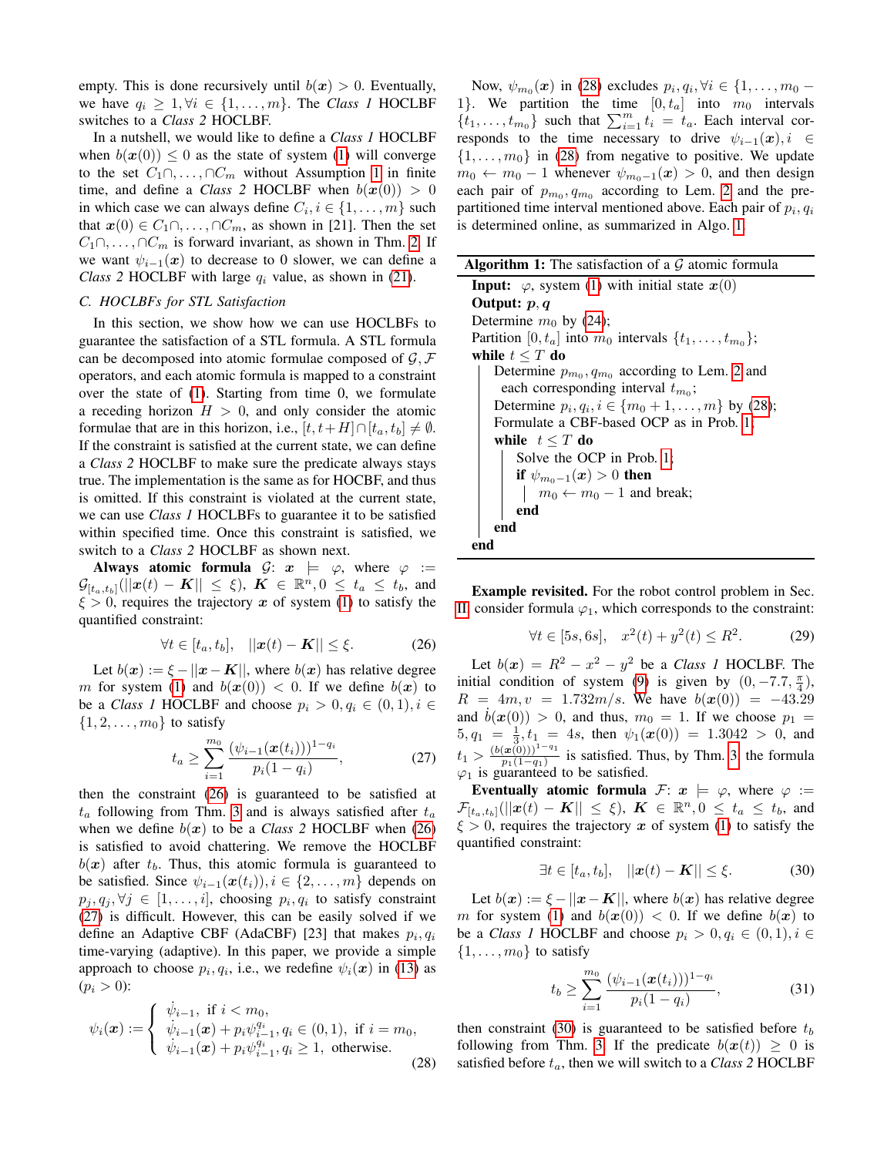empty. This is done recursively until  $b(x) > 0$ . Eventually, we have  $q_i \geq 1, \forall i \in \{1, \ldots, m\}$ . The *Class 1* HOCLBF switches to a *Class 2* HOCLBF.

In a nutshell, we would like to define a *Class 1* HOCLBF when  $b(x(0)) \leq 0$  as the state of system [\(1\)](#page-0-0) will converge to the set  $C_1 \cap \ldots \cap C_m$  without Assumption [1](#page-3-2) in finite time, and define a *Class 2* HOCLBF when  $b(x(0)) > 0$ in which case we can always define  $C_i, i \in \{1, \ldots, m\}$  such that  $x(0) \in C_1 \cap \ldots \cap C_m$ , as shown in [21]. Then the set  $C_1 \cap \ldots \cap C_m$  is forward invariant, as shown in Thm. [2.](#page-3-3) If we want  $\psi_{i-1}(x)$  to decrease to 0 slower, we can define a *Class 2* HOCLBF with large  $q_i$  value, as shown in [\(21\)](#page-3-12).

## <span id="page-5-5"></span>*C. HOCLBFs for STL Satisfaction*

In this section, we show how we can use HOCLBFs to guarantee the satisfaction of a STL formula. A STL formula can be decomposed into atomic formulae composed of  $\mathcal{G}, \mathcal{F}$ operators, and each atomic formula is mapped to a constraint over the state of [\(1\)](#page-0-0). Starting from time 0, we formulate a receding horizon  $H > 0$ , and only consider the atomic formulae that are in this horizon, i.e.,  $[t, t+H] \cap [t_a, t_b] \neq \emptyset$ . If the constraint is satisfied at the current state, we can define a *Class 2* HOCLBF to make sure the predicate always stays true. The implementation is the same as for HOCBF, and thus is omitted. If this constraint is violated at the current state, we can use *Class 1* HOCLBFs to guarantee it to be satisfied within specified time. Once this constraint is satisfied, we switch to a *Class 2* HOCLBF as shown next.

Always atomic formula  $\mathcal{G}: \mathbf{x} \models \varphi$ , where  $\varphi :=$  $\mathcal{G}_{[t_a,t_b]}(||\bm{x}(t)-\bm{K}|| \leq \xi), \ \bm{K} \ \in \ \mathbb{R}^n, 0 \ \leq \ t_a \ \leq \ t_b, \text{ and}$  $\xi > 0$ , requires the trajectory x of system [\(1\)](#page-0-0) to satisfy the quantified constraint:

<span id="page-5-0"></span>
$$
\forall t \in [t_a, t_b], \quad ||\mathbf{x}(t) - \mathbf{K}|| \le \xi. \tag{26}
$$

Let  $b(x) := \xi - ||x - K||$ , where  $b(x)$  has relative degree m for system [\(1\)](#page-0-0) and  $b(x(0)) < 0$ . If we define  $b(x)$  to be a *Class 1* HOCLBF and choose  $p_i > 0, q_i \in (0, 1), i \in$  $\{1, 2, \ldots, m_0\}$  to satisfy

<span id="page-5-1"></span>
$$
t_a \ge \sum_{i=1}^{m_0} \frac{(\psi_{i-1}(\boldsymbol{x}(t_i)))^{1-q_i}}{p_i(1-q_i)},
$$
\n(27)

then the constraint [\(26\)](#page-5-0) is guaranteed to be satisfied at  $t_a$  following from Thm. [3](#page-4-2) and is always satisfied after  $t_a$ when we define  $b(x)$  to be a *Class 2* HOCLBF when [\(26\)](#page-5-0) is satisfied to avoid chattering. We remove the HOCLBF  $b(x)$  after  $t<sub>b</sub>$ . Thus, this atomic formula is guaranteed to be satisfied. Since  $\psi_{i-1}(\boldsymbol{x}(t_i)), i \in \{2, \ldots, m\}$  depends on  $p_j, q_j, \forall j \in [1, \ldots, i]$ , choosing  $p_i, q_i$  to satisfy constraint [\(27\)](#page-5-1) is difficult. However, this can be easily solved if we define an Adaptive CBF (AdaCBF) [23] that makes  $p_i, q_i$ time-varying (adaptive). In this paper, we provide a simple approach to choose  $p_i, q_i$ , i.e., we redefine  $\psi_i(\boldsymbol{x})$  in [\(13\)](#page-3-4) as  $(p_i > 0)$ :

<span id="page-5-2"></span>
$$
\psi_i(\boldsymbol{x}) := \begin{cases} \n\dot{\psi}_{i-1}, & \text{if } i < m_0, \\
\dot{\psi}_{i-1}(\boldsymbol{x}) + p_i \psi_{i-1}^{q_i}, q_i \in (0, 1), & \text{if } i = m_0, \\
\dot{\psi}_{i-1}(\boldsymbol{x}) + p_i \psi_{i-1}^{q_i}, q_i \ge 1, & \text{otherwise.}\n\end{cases} \tag{28}
$$

Now,  $\psi_{m_0}(\boldsymbol{x})$  in [\(28\)](#page-5-2) excludes  $p_i, q_i, \forall i \in \{1, \dots, m_0 - \}$ 1}. We partition the time  $[0, t_a]$  into  $m_0$  intervals  $\{t_1, \ldots, t_{m_0}\}\$  such that  $\sum_{i=1}^m t_i = t_a$ . Each interval corresponds to the time necessary to drive  $\psi_{i-1}(\bm{x}), i \in$  $\{1, \ldots, m_0\}$  in [\(28\)](#page-5-2) from negative to positive. We update  $m_0 \leftarrow m_0 - 1$  whenever  $\psi_{m_0-1}(x) > 0$ , and then design each pair of  $p_{m_0}, q_{m_0}$  according to Lem. [2](#page-3-14) and the prepartitioned time interval mentioned above. Each pair of  $p_i, q_i$ is determined online, as summarized in Algo. [1.](#page-5-3)

<span id="page-5-3"></span>

| <b>Algorithm 1:</b> The satisfaction of a $G$ atomic formula            |
|-------------------------------------------------------------------------|
| <b>Input:</b> $\varphi$ , system (1) with initial state $x(0)$          |
| Output: $p, q$                                                          |
| Determine $m_0$ by (24);                                                |
| Partition [0, $t_a$ ] into $m_0$ intervals $\{t_1, \ldots, t_{m_0}\}$ ; |
| while $t \leq T$ do                                                     |
| Determine $p_{m_0}, q_{m_0}$ according to Lem. 2 and                    |
| each corresponding interval $t_{m_0}$ ;                                 |
| Determine $p_i, q_i, i \in \{m_0 + 1, , m\}$ by (28);                   |
| Formulate a CBF-based OCP as in Prob. 1;                                |
| while $t \leq T$ do                                                     |
| Solve the OCP in Prob. 1;                                               |
| <b>if</b> $\psi_{m_0-1}(x) > 0$ then                                    |
| $m_0 \leftarrow m_0 - 1$ and break;                                     |
| end                                                                     |
| end                                                                     |
| end                                                                     |

Example revisited. For the robot control problem in Sec. [II,](#page-0-1) consider formula  $\varphi_1$ , which corresponds to the constraint:

$$
\forall t \in [5s, 6s], \quad x^2(t) + y^2(t) \le R^2. \tag{29}
$$

Let  $b(x) = R^2 - x^2 - y^2$  be a *Class 1* HOCLBF. The initial condition of system [\(9\)](#page-2-2) is given by  $(0, -7.7, \frac{\pi}{4})$ ,  $R = 4m, v = 1.732m/s$ . We have  $b(x(0)) = -43.29$ and  $b(x(0)) > 0$ , and thus,  $m_0 = 1$ . If we choose  $p_1 =$  $5, q_1 = \frac{1}{3}, t_1 = 4s$ , then  $\psi_1(\boldsymbol{x}(0)) = 1.3042 > 0$ , and 3  $t_1 > \frac{(b(\mathbf{x}(0)))^{1-q_1}}{p_1(1-q_1)}$  $\frac{f(x(0))}{p_1(1-q_1)}$  is satisfied. Thus, by Thm. [3,](#page-4-2) the formula  $\varphi_1$  is guaranteed to be satisfied.

Eventually atomic formula  $\mathcal{F}: \mathbf{x} \models \varphi$ , where  $\varphi :=$  $\mathcal{F}_{[t_a,t_b]}(||\boldsymbol{x}(t)-\boldsymbol{K}|| \ \leq \ \xi), \ \boldsymbol{K} \ \in \ \mathbb{R}^n, 0 \ \leq \ t_a \ \leq \ t_b, \text{ and}$  $\xi > 0$ , requires the trajectory x of system [\(1\)](#page-0-0) to satisfy the quantified constraint:

<span id="page-5-4"></span>
$$
\exists t \in [t_a, t_b], \quad ||\boldsymbol{x}(t) - \boldsymbol{K}|| \le \xi. \tag{30}
$$

Let  $b(x) := \xi - ||x - K||$ , where  $b(x)$  has relative degree m for system [\(1\)](#page-0-0) and  $b(x(0)) < 0$ . If we define  $b(x)$  to be a *Class 1* HOCLBF and choose  $p_i > 0, q_i \in (0, 1), i \in$  $\{1, \ldots, m_0\}$  to satisfy

$$
t_b \geq \sum_{i=1}^{m_0} \frac{(\psi_{i-1}(\boldsymbol{x}(t_i)))^{1-q_i}}{p_i(1-q_i)},
$$
\n(31)

then constraint [\(30\)](#page-5-4) is guaranteed to be satisfied before  $t_b$ following from Thm. [3.](#page-4-2) If the predicate  $b(x(t)) \geq 0$  is satisfied before  $t_a$ , then we will switch to a *Class 2* HOCLBF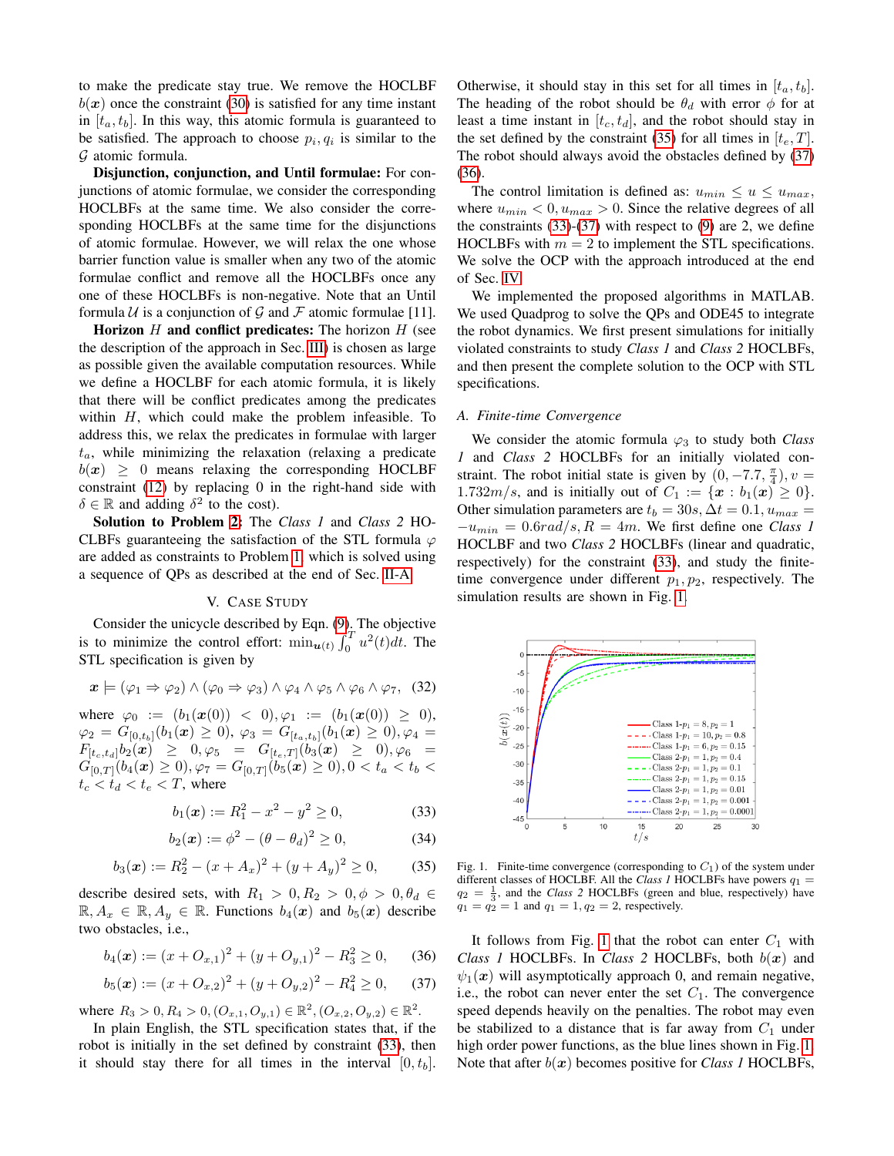to make the predicate stay true. We remove the HOCLBF  $b(x)$  once the constraint [\(30\)](#page-5-4) is satisfied for any time instant in  $[t_a, t_b]$ . In this way, this atomic formula is guaranteed to be satisfied. The approach to choose  $p_i, q_i$  is similar to the G atomic formula.

Disjunction, conjunction, and Until formulae: For conjunctions of atomic formulae, we consider the corresponding HOCLBFs at the same time. We also consider the corresponding HOCLBFs at the same time for the disjunctions of atomic formulae. However, we will relax the one whose barrier function value is smaller when any two of the atomic formulae conflict and remove all the HOCLBFs once any one of these HOCLBFs is non-negative. Note that an Until formula  $U$  is a conjunction of  $G$  and  $F$  atomic formulae [11].

Horizon  $H$  and conflict predicates: The horizon  $H$  (see the description of the approach in Sec. [III\)](#page-2-6) is chosen as large as possible given the available computation resources. While we define a HOCLBF for each atomic formula, it is likely that there will be conflict predicates among the predicates within  $H$ , which could make the problem infeasible. To address this, we relax the predicates in formulae with larger  $t_a$ , while minimizing the relaxation (relaxing a predicate  $b(x) \geq 0$  means relaxing the corresponding HOCLBF constraint [\(12\)](#page-3-0) by replacing 0 in the right-hand side with  $\delta \in \mathbb{R}$  and adding  $\delta^2$  to the cost).

Solution to Problem [2:](#page-2-0) The *Class 1* and *Class 2* HO-CLBFs guaranteeing the satisfaction of the STL formula  $\varphi$ are added as constraints to Problem [1,](#page-1-7) which is solved using a sequence of QPs as described at the end of Sec. [II-A.](#page-1-8)

## V. CASE STUDY

Consider the unicycle described by Eqn. [\(9\)](#page-2-2). The objective is to minimize the control effort:  $\min_{u(t)} \int_0^T u^2(t) dt$ . The STL specification is given by

$$
\boldsymbol{x} \models (\varphi_1 \Rightarrow \varphi_2) \land (\varphi_0 \Rightarrow \varphi_3) \land \varphi_4 \land \varphi_5 \land \varphi_6 \land \varphi_7, \quad (32)
$$

where  $\varphi_0 := (b_1(\boldsymbol{x}(0)) < 0), \varphi_1 := (b_1(\boldsymbol{x}(0)) \geq 0),$  $\varphi_2 = G_{[0,t_b]}(b_1(\boldsymbol{x}) \geq 0), \varphi_3 = G_{[t_a,t_b]}(b_1(\boldsymbol{x}) \geq 0), \varphi_4 =$  $F_{[t_c,t_d]}b_2(\boldsymbol{x}) \geq 0, \varphi_5 = G_{[t_e,T]}(b_3(\boldsymbol{x}) \geq 0), \varphi_6 =$  $G_{[0,T]}(b_4(\boldsymbol{x}) \geq 0), \varphi_7 = G_{[0,T]}(b_5(\boldsymbol{x}) \geq 0), 0 < t_a < t_b <$  $t_c < t_d < t_e < T$ , where

<span id="page-6-0"></span>
$$
b_1(x) := R_1^2 - x^2 - y^2 \ge 0,
$$
 (33)

<span id="page-6-5"></span>
$$
b_2(x) := \phi^2 - (\theta - \theta_d)^2 \ge 0,
$$
 (34)

<span id="page-6-1"></span>
$$
b_3(x) := R_2^2 - (x + A_x)^2 + (y + A_y)^2 \ge 0,
$$
 (35)

describe desired sets, with  $R_1 > 0, R_2 > 0, \phi > 0, \theta_d \in$  $\mathbb{R}, A_x \in \mathbb{R}, A_y \in \mathbb{R}$ . Functions  $b_4(x)$  and  $b_5(x)$  describe two obstacles, i.e.,

<span id="page-6-3"></span>
$$
b_4(x) := (x + O_{x,1})^2 + (y + O_{y,1})^2 - R_3^2 \ge 0,
$$
 (36)

<span id="page-6-2"></span>
$$
b_5(\mathbf{x}) := (x + O_{x,2})^2 + (y + O_{y,2})^2 - R_4^2 \ge 0, \qquad (37)
$$

where  $R_3 > 0, R_4 > 0, (O_{x,1}, O_{y,1}) \in \mathbb{R}^2, (O_{x,2}, O_{y,2}) \in \mathbb{R}^2$ .

In plain English, the STL specification states that, if the robot is initially in the set defined by constraint [\(33\)](#page-6-0), then it should stay there for all times in the interval  $[0, t_b]$ .

Otherwise, it should stay in this set for all times in  $[t_a, t_b]$ . The heading of the robot should be  $\theta_d$  with error  $\phi$  for at least a time instant in  $[t_c, t_d]$ , and the robot should stay in the set defined by the constraint [\(35\)](#page-6-1) for all times in  $[t_e, T]$ . The robot should always avoid the obstacles defined by [\(37\)](#page-6-2) [\(36\)](#page-6-3).

The control limitation is defined as:  $u_{min} \le u \le u_{max}$ , where  $u_{min} < 0, u_{max} > 0$ . Since the relative degrees of all the constraints  $(33)-(37)$  $(33)-(37)$  $(33)-(37)$  with respect to  $(9)$  are 2, we define HOCLBFs with  $m = 2$  to implement the STL specifications. We solve the OCP with the approach introduced at the end of Sec. [IV.](#page-2-1)

We implemented the proposed algorithms in MATLAB. We used Quadprog to solve the QPs and ODE45 to integrate the robot dynamics. We first present simulations for initially violated constraints to study *Class 1* and *Class 2* HOCLBFs, and then present the complete solution to the OCP with STL specifications.

## *A. Finite-time Convergence*

We consider the atomic formula  $\varphi_3$  to study both *Class 1* and *Class 2* HOCLBFs for an initially violated constraint. The robot initial state is given by  $(0, -7.7, \frac{\pi}{4}), v =$ 1.732 $m/s$ , and is initially out of  $C_1 := \{x : b_1(x) \ge 0\}.$ Other simulation parameters are  $t_b = 30s$ ,  $\Delta t = 0.1$ ,  $u_{max} =$  $-u_{min} = 0.6rad/s, R = 4m$ . We first define one *Class 1* HOCLBF and two *Class 2* HOCLBFs (linear and quadratic, respectively) for the constraint [\(33\)](#page-6-0), and study the finitetime convergence under different  $p_1, p_2$ , respectively. The simulation results are shown in Fig. [1.](#page-6-4)



<span id="page-6-4"></span>Fig. 1. Finite-time convergence (corresponding to  $C_1$ ) of the system under different classes of HOCLBF. All the *Class 1* HOCLBFs have powers  $q_1$  =  $q_2 = \frac{1}{3}$ , and the *Class 2* HOCLBFs (green and blue, respectively) have  $q_1 = q_2^3 = 1$  and  $q_1 = 1, q_2 = 2$ , respectively.

It follows from Fig. [1](#page-6-4) that the robot can enter  $C_1$  with *Class 1* HOCLBFs. In *Class 2* HOCLBFs, both  $b(x)$  and  $\psi_1(x)$  will asymptotically approach 0, and remain negative, i.e., the robot can never enter the set  $C_1$ . The convergence speed depends heavily on the penalties. The robot may even be stabilized to a distance that is far away from  $C_1$  under high order power functions, as the blue lines shown in Fig. [1.](#page-6-4) Note that after  $b(x)$  becomes positive for *Class 1* HOCLBFs,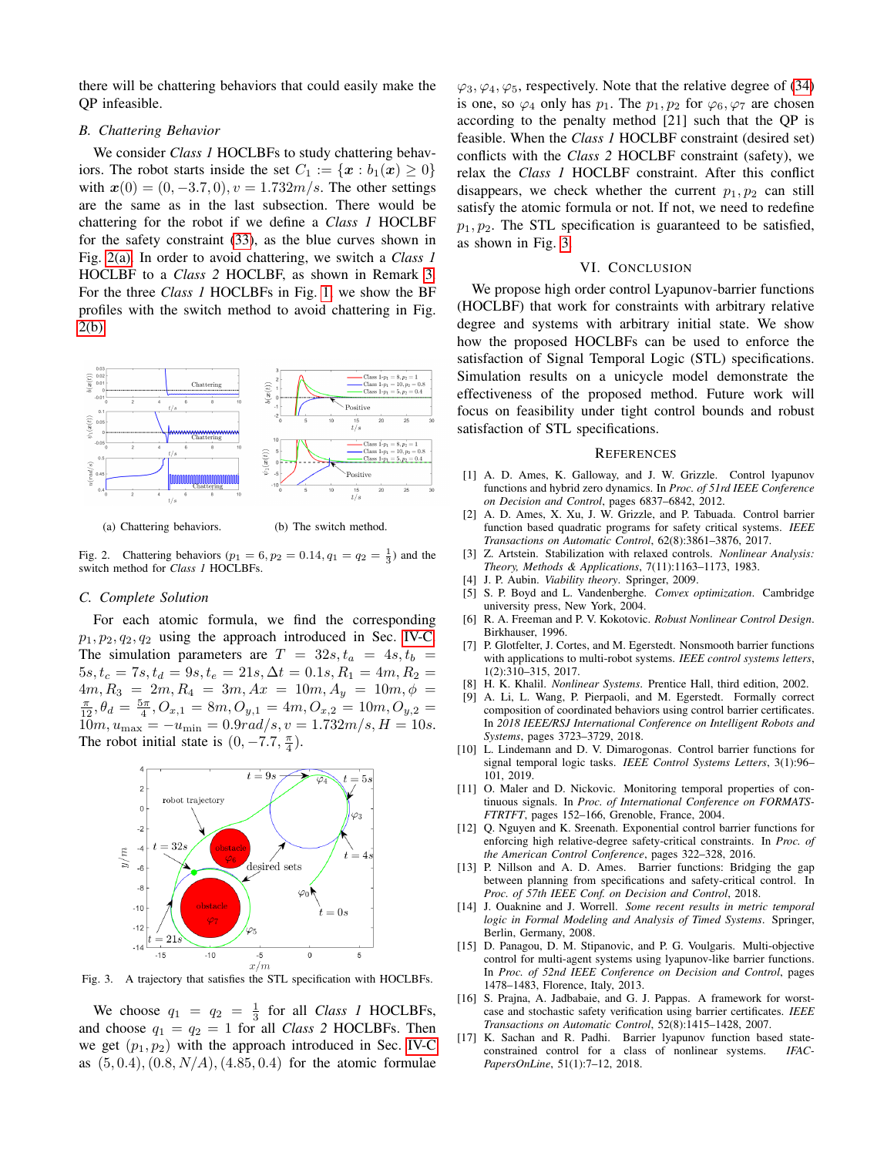there will be chattering behaviors that could easily make the QP infeasible.

## *B. Chattering Behavior*

We consider *Class 1* HOCLBFs to study chattering behaviors. The robot starts inside the set  $C_1 := \{x : b_1(x) \geq 0\}$ with  $x(0) = (0, -3.7, 0), v = 1.732m/s$ . The other settings are the same as in the last subsection. There would be chattering for the robot if we define a *Class 1* HOCLBF for the safety constraint [\(33\)](#page-6-0), as the blue curves shown in Fig. [2\(a\).](#page-7-0) In order to avoid chattering, we switch a *Class 1* HOCLBF to a *Class 2* HOCLBF, as shown in Remark [3.](#page-4-4) For the three *Class 1* HOCLBFs in Fig. [1,](#page-6-4) we show the BF profiles with the switch method to avoid chattering in Fig. [2\(b\).](#page-7-1)



<span id="page-7-0"></span>(a) Chattering behaviors. (b) The switch method.

<span id="page-7-1"></span>

Fig. 2. Chattering behaviors ( $p_1 = 6, p_2 = 0.14, q_1 = q_2 = \frac{1}{3}$ ) and the switch method for *Class 1* HOCLBFs.

## *C. Complete Solution*

For each atomic formula, we find the corresponding  $p_1, p_2, q_2, q_2$  using the approach introduced in Sec. [IV-C.](#page-5-5) The simulation parameters are  $T = 32s, t_a = 4s, t_b =$  $5s, t_c = 7s, t_d = 9s, t_e = 21s, \Delta t = 0.1s, R_1 = 4m, R_2 =$  $4m, R_3 = 2m, R_4 = 3m, Ax = 10m, A_y = 10m, \phi =$  $\frac{\pi}{12}, \theta_d = \frac{5\pi}{4}, O_{x,1} = 8m, O_{y,1} = 4m, O_{x,2} = 10m, O_{y,2} =$  $10m, u_{\text{max}} = -u_{\text{min}} = 0.9 \text{rad/s}, v = 1.732 \text{m/s}, H = 10 \text{s}.$ The robot initial state is  $(0, -7.7, \frac{\pi}{4})$ .



<span id="page-7-2"></span>Fig. 3. A trajectory that satisfies the STL specification with HOCLBFs.

We choose  $q_1 = q_2 = \frac{1}{3}$  for all *Class 1* HOCLBFs, and choose  $q_1 = q_2 = 1$  for all *Class 2* HOCLBFs. Then we get  $(p_1, p_2)$  with the approach introduced in Sec. [IV-C](#page-5-5) as  $(5, 0.4), (0.8, N/A), (4.85, 0.4)$  for the atomic formulae  $\varphi_3, \varphi_4, \varphi_5$ , respectively. Note that the relative degree of [\(34\)](#page-6-5) is one, so  $\varphi_4$  only has  $p_1$ . The  $p_1, p_2$  for  $\varphi_6, \varphi_7$  are chosen according to the penalty method [21] such that the QP is feasible. When the *Class 1* HOCLBF constraint (desired set) conflicts with the *Class 2* HOCLBF constraint (safety), we relax the *Class 1* HOCLBF constraint. After this conflict disappears, we check whether the current  $p_1, p_2$  can still satisfy the atomic formula or not. If not, we need to redefine  $p_1, p_2$ . The STL specification is guaranteed to be satisfied, as shown in Fig. [3.](#page-7-2)

# VI. CONCLUSION

We propose high order control Lyapunov-barrier functions (HOCLBF) that work for constraints with arbitrary relative degree and systems with arbitrary initial state. We show how the proposed HOCLBFs can be used to enforce the satisfaction of Signal Temporal Logic (STL) specifications. Simulation results on a unicycle model demonstrate the effectiveness of the proposed method. Future work will focus on feasibility under tight control bounds and robust satisfaction of STL specifications.

#### **REFERENCES**

- [1] A. D. Ames, K. Galloway, and J. W. Grizzle. Control lyapunov functions and hybrid zero dynamics. In *Proc. of 51rd IEEE Conference on Decision and Control*, pages 6837–6842, 2012.
- [2] A. D. Ames, X. Xu, J. W. Grizzle, and P. Tabuada. Control barrier function based quadratic programs for safety critical systems. *IEEE Transactions on Automatic Control*, 62(8):3861–3876, 2017.
- [3] Z. Artstein. Stabilization with relaxed controls. *Nonlinear Analysis: Theory, Methods & Applications*, 7(11):1163–1173, 1983.
- [4] J. P. Aubin. *Viability theory*. Springer, 2009.
- [5] S. P. Boyd and L. Vandenberghe. *Convex optimization*. Cambridge university press, New York, 2004.
- [6] R. A. Freeman and P. V. Kokotovic. *Robust Nonlinear Control Design*. Birkhauser, 1996.
- [7] P. Glotfelter, J. Cortes, and M. Egerstedt. Nonsmooth barrier functions with applications to multi-robot systems. *IEEE control systems letters*, 1(2):310–315, 2017.
- [8] H. K. Khalil. *Nonlinear Systems*. Prentice Hall, third edition, 2002.
- [9] A. Li, L. Wang, P. Pierpaoli, and M. Egerstedt. Formally correct composition of coordinated behaviors using control barrier certificates. In *2018 IEEE/RSJ International Conference on Intelligent Robots and Systems*, pages 3723–3729, 2018.
- [10] L. Lindemann and D. V. Dimarogonas. Control barrier functions for signal temporal logic tasks. *IEEE Control Systems Letters*, 3(1):96– 101, 2019.
- [11] O. Maler and D. Nickovic. Monitoring temporal properties of continuous signals. In *Proc. of International Conference on FORMATS-FTRTFT*, pages 152–166, Grenoble, France, 2004.
- [12] Q. Nguyen and K. Sreenath. Exponential control barrier functions for enforcing high relative-degree safety-critical constraints. In *Proc. of the American Control Conference*, pages 322–328, 2016.
- [13] P. Nillson and A. D. Ames. Barrier functions: Bridging the gap between planning from specifications and safety-critical control. In *Proc. of 57th IEEE Conf. on Decision and Control*, 2018.
- [14] J. Ouaknine and J. Worrell. *Some recent results in metric temporal logic in Formal Modeling and Analysis of Timed Systems*. Springer, Berlin, Germany, 2008.
- [15] D. Panagou, D. M. Stipanovic, and P. G. Voulgaris. Multi-objective control for multi-agent systems using lyapunov-like barrier functions. In *Proc. of 52nd IEEE Conference on Decision and Control*, pages 1478–1483, Florence, Italy, 2013.
- [16] S. Prajna, A. Jadbabaie, and G. J. Pappas. A framework for worstcase and stochastic safety verification using barrier certificates. *IEEE Transactions on Automatic Control*, 52(8):1415–1428, 2007.
- [17] K. Sachan and R. Padhi. Barrier lyapunov function based state-<br>constrained control for a class of nonlinear systems. *IFAC*constrained control for a class of nonlinear systems. *PapersOnLine*, 51(1):7–12, 2018.